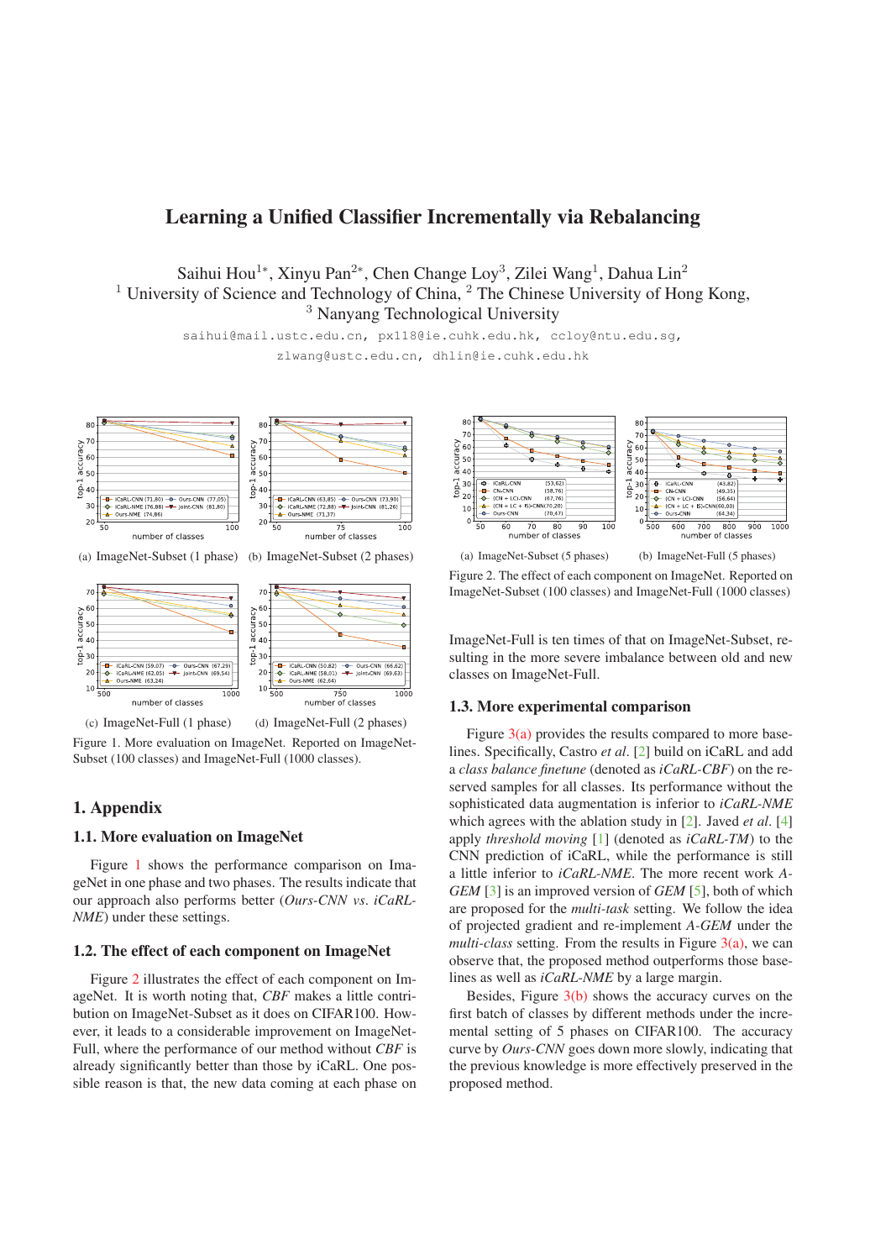# Learning a Unified Classifier Incrementally via Rebalancing

Saihui Hou<sup>1</sup>∗, Xinyu Pan<sup>2</sup>∗, Chen Change Loy<sup>3</sup>, Zilei Wang<sup>1</sup>, Dahua Lin<sup>2</sup> <sup>1</sup> University of Science and Technology of China, <sup>2</sup> The Chinese University of Hong Kong, <sup>3</sup> Nanyang Technological University

> saihui@mail.ustc.edu.cn, px118@ie.cuhk.edu.hk, ccloy@ntu.edu.sg, zlwang@ustc.edu.cn, dhlin@ie.cuhk.edu.hk



(a) ImageNet-Subset (1 phase) (b) ImageNet-Subset (2 phases)



(c) ImageNet-Full (1 phase) (d) ImageNet-Full (2 phases)

Figure 1. More evaluation on ImageNet. Reported on ImageNet-Subset (100 classes) and ImageNet-Full (1000 classes).

# 1. Appendix

### 1.1. More evaluation on ImageNet

Figure 1 shows the performance comparison on ImageNet in one phase and two phases. The results indicate that our approach also performs better (*Ours-CNN vs*. *iCaRL-NME*) under these settings.

### 1.2. The effect of each component on ImageNet

Figure 2 illustrates the effect of each component on ImageNet. It is worth noting that, *CBF* makes a little contribution on ImageNet-Subset as it does on CIFAR100. However, it leads to a considerable improvement on ImageNet-Full, where the performance of our method without *CBF* is already significantly better than those by iCaRL. One possible reason is that, the new data coming at each phase on



Figure 2. The effect of each component on ImageNet. Reported on ImageNet-Subset (100 classes) and ImageNet-Full (1000 classes)

ImageNet-Full is ten times of that on ImageNet-Subset, resulting in the more severe imbalance between old and new classes on ImageNet-Full.

#### 1.3. More experimental comparison

Figure  $3(a)$  provides the results compared to more baselines. Specifically, Castro *et al*. [2] build on iCaRL and add a *class balance finetune* (denoted as *iCaRL-CBF*) on the reserved samples for all classes. Its performance without the sophisticated data augmentation is inferior to *iCaRL-NME* which agrees with the ablation study in [2]. Javed *et al*. [4] apply *threshold moving* [1] (denoted as *iCaRL-TM*) to the CNN prediction of iCaRL, while the performance is still a little inferior to *iCaRL-NME*. The more recent work *A-GEM* [3] is an improved version of *GEM* [5], both of which are proposed for the *multi-task* setting. We follow the idea of projected gradient and re-implement *A-GEM* under the *multi-class* setting. From the results in Figure 3(a), we can observe that, the proposed method outperforms those baselines as well as *iCaRL-NME* by a large margin.

Besides, Figure 3(b) shows the accuracy curves on the first batch of classes by different methods under the incremental setting of 5 phases on CIFAR100. The accuracy curve by *Ours-CNN* goes down more slowly, indicating that the previous knowledge is more effectively preserved in the proposed method.